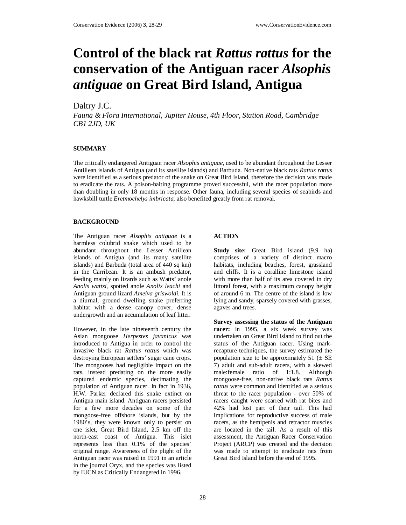# **Control of the black rat** *Rattus rattus* **for the conservation of the Antiguan racer** *Alsophis antiguae* **on Great Bird Island, Antigua**

# Daltry J.C.

*Fauna & Flora International, Jupiter House, 4th Floor, Station Road, Cambridge CB1 2JD, UK* 

# **SUMMARY**

The critically endangered Antiguan racer *Alsophis antiguae,* used to be abundant throughout the Lesser Antillean islands of Antigua (and its satellite islands) and Barbuda. Non-native black rats *Rattus rattus* were identified as a serious predator of the snake on Great Bird Island, therefore the decision was made to eradicate the rats. A poison-baiting programme proved successful, with the racer population more than doubling in only 18 months in response. Other fauna, including several species of seabirds and hawksbill turtle *Eretmochelys imbricata*, also benefited greatly from rat removal.

#### **BACKGROUND**

The Antiguan racer *Alsophis antiguae* is a harmless colubrid snake which used to be abundant throughout the Lesser Antillean islands of Antigua (and its many satellite islands) and Barbuda (total area of 440 sq km) in the Carribean. It is an ambush predator, feeding mainly on lizards such as Watts' anole *Anolis wattsi*, spotted anole *Anolis leachi* and Antiguan ground lizard *Ameiva griswoldi*. It is a diurnal, ground dwelling snake preferring habitat with a dense canopy cover, dense undergrowth and an accumulation of leaf litter.

However, in the late nineteenth century the Asian mongoose *Herpestes javanicus* was introduced to Antigua in order to control the invasive black rat *Rattus rattus* which was destroying European settlers' sugar cane crops. The mongooses had negligible impact on the rats, instead predating on the more easily captured endemic species, decimating the population of Antiguan racer. In fact in 1936, H.W. Parker declared this snake extinct on Antigua main island. Antiguan racers persisted for a few more decades on some of the mongoose-free offshore islands, but by the 1980's, they were known only to persist on one islet, Great Bird Island, 2.5 km off the north-east coast of Antigua. This islet represents less than 0.1% of the species' original range. Awareness of the plight of the Antiguan racer was raised in 1991 in an article in the journal Oryx, and the species was listed by IUCN as Critically Endangered in 1996.

# **ACTION**

**Study site:** Great Bird island (9.9 ha) comprises of a variety of distinct macro habitats, including beaches, forest, grassland and cliffs. It is a coralline limestone island with more than half of its area covered in dry littoral forest, with a maximum canopy height of around 6 m. The centre of the island is low lying and sandy, sparsely covered with grasses, agaves and trees.

**Survey assessing the status of the Antiguan racer:** In 1995, a six week survey was undertaken on Great Bird Island to find out the status of the Antiguan racer. Using markrecapture techniques, the survey estimated the population size to be approximately 51 ( $\pm$  SE 7) adult and sub-adult racers, with a skewed male:female ratio of 1:1.8. Although mongoose-free, non-native black rats *Rattus rattus* were common and identified as a serious threat to the racer population - over 50% of racers caught were scarred with rat bites and 42% had lost part of their tail. This had implications for reproductive success of male racers, as the hemipenis and retractor muscles are located in the tail. As a result of this assessment, the Antiguan Racer Conservation Project (ARCP) was created and the decision was made to attempt to eradicate rats from Great Bird Island before the end of 1995.